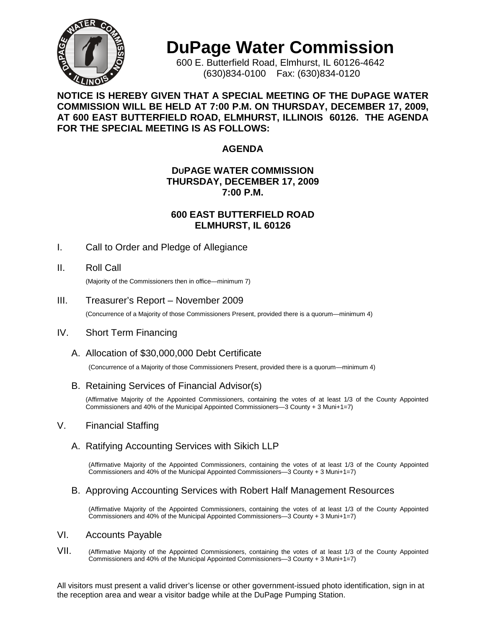

# **DuPage Water Commission**

600 E. Butterfield Road, Elmhurst, IL 60126-4642 (630)834-0100 Fax: (630)834-0120

**NOTICE IS HEREBY GIVEN THAT A SPECIAL MEETING OF THE DUPAGE WATER COMMISSION WILL BE HELD AT 7:00 P.M. ON THURSDAY, DECEMBER 17, 2009, AT 600 EAST BUTTERFIELD ROAD, ELMHURST, ILLINOIS 60126. THE AGENDA FOR THE SPECIAL MEETING IS AS FOLLOWS:**

# **AGENDA**

#### **DUPAGE WATER COMMISSION THURSDAY, DECEMBER 17, 2009 7:00 P.M.**

#### **600 EAST BUTTERFIELD ROAD ELMHURST, IL 60126**

I. Call to Order and Pledge of Allegiance

# II. Roll Call

(Majority of the Commissioners then in office—minimum 7)

#### III. Treasurer's Report – November 2009

(Concurrence of a Majority of those Commissioners Present, provided there is a quorum—minimum 4)

# IV. Short Term Financing

# A. Allocation of \$30,000,000 Debt Certificate

(Concurrence of a Majority of those Commissioners Present, provided there is a quorum—minimum 4)

# B. Retaining Services of Financial Advisor(s)

(Affirmative Majority of the Appointed Commissioners, containing the votes of at least 1/3 of the County Appointed Commissioners and 40% of the Municipal Appointed Commissioners—3 County + 3 Muni+1=7)

# V. Financial Staffing

# A. Ratifying Accounting Services with Sikich LLP

(Affirmative Majority of the Appointed Commissioners, containing the votes of at least 1/3 of the County Appointed Commissioners and 40% of the Municipal Appointed Commissioners—3 County + 3 Muni+1=7)

#### B. Approving Accounting Services with Robert Half Management Resources

(Affirmative Majority of the Appointed Commissioners, containing the votes of at least 1/3 of the County Appointed Commissioners and 40% of the Municipal Appointed Commissioners—3 County + 3 Muni+1=7)

#### VI. Accounts Payable

VII. (Affirmative Majority of the Appointed Commissioners, containing the votes of at least 1/3 of the County Appointed Commissioners and 40% of the Municipal Appointed Commissioners—3 County + 3 Muni+1=7)

All visitors must present a valid driver's license or other government-issued photo identification, sign in at the reception area and wear a visitor badge while at the DuPage Pumping Station.